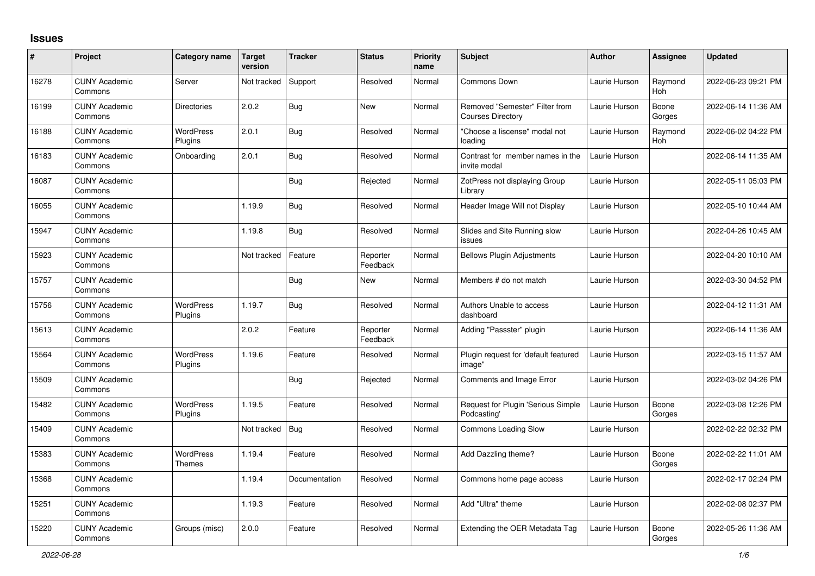## **Issues**

| #     | Project                         | Category name                     | <b>Target</b><br>version | <b>Tracker</b> | <b>Status</b>        | <b>Priority</b><br>name | <b>Subject</b>                                             | <b>Author</b> | <b>Assignee</b> | <b>Updated</b>      |
|-------|---------------------------------|-----------------------------------|--------------------------|----------------|----------------------|-------------------------|------------------------------------------------------------|---------------|-----------------|---------------------|
| 16278 | <b>CUNY Academic</b><br>Commons | Server                            | Not tracked              | Support        | Resolved             | Normal                  | Commons Down                                               | Laurie Hurson | Raymond<br>Hoh  | 2022-06-23 09:21 PM |
| 16199 | <b>CUNY Academic</b><br>Commons | <b>Directories</b>                | 2.0.2                    | Bug            | New                  | Normal                  | Removed "Semester" Filter from<br><b>Courses Directory</b> | Laurie Hurson | Boone<br>Gorges | 2022-06-14 11:36 AM |
| 16188 | <b>CUNY Academic</b><br>Commons | <b>WordPress</b><br>Plugins       | 2.0.1                    | <b>Bug</b>     | Resolved             | Normal                  | "Choose a liscense" modal not<br>loading                   | Laurie Hurson | Raymond<br>Hoh  | 2022-06-02 04:22 PM |
| 16183 | <b>CUNY Academic</b><br>Commons | Onboarding                        | 2.0.1                    | Bug            | Resolved             | Normal                  | Contrast for member names in the<br>invite modal           | Laurie Hurson |                 | 2022-06-14 11:35 AM |
| 16087 | <b>CUNY Academic</b><br>Commons |                                   |                          | Bug            | Rejected             | Normal                  | ZotPress not displaying Group<br>Librarv                   | Laurie Hurson |                 | 2022-05-11 05:03 PM |
| 16055 | <b>CUNY Academic</b><br>Commons |                                   | 1.19.9                   | Bug            | Resolved             | Normal                  | Header Image Will not Display                              | Laurie Hurson |                 | 2022-05-10 10:44 AM |
| 15947 | <b>CUNY Academic</b><br>Commons |                                   | 1.19.8                   | Bug            | Resolved             | Normal                  | Slides and Site Running slow<br>issues                     | Laurie Hurson |                 | 2022-04-26 10:45 AM |
| 15923 | <b>CUNY Academic</b><br>Commons |                                   | Not tracked              | Feature        | Reporter<br>Feedback | Normal                  | <b>Bellows Plugin Adjustments</b>                          | Laurie Hurson |                 | 2022-04-20 10:10 AM |
| 15757 | <b>CUNY Academic</b><br>Commons |                                   |                          | Bug            | New                  | Normal                  | Members # do not match                                     | Laurie Hurson |                 | 2022-03-30 04:52 PM |
| 15756 | <b>CUNY Academic</b><br>Commons | WordPress<br>Plugins              | 1.19.7                   | <b>Bug</b>     | Resolved             | Normal                  | Authors Unable to access<br>dashboard                      | Laurie Hurson |                 | 2022-04-12 11:31 AM |
| 15613 | <b>CUNY Academic</b><br>Commons |                                   | 2.0.2                    | Feature        | Reporter<br>Feedback | Normal                  | Adding "Passster" plugin                                   | Laurie Hurson |                 | 2022-06-14 11:36 AM |
| 15564 | <b>CUNY Academic</b><br>Commons | WordPress<br>Plugins              | 1.19.6                   | Feature        | Resolved             | Normal                  | Plugin request for 'default featured<br>image"             | Laurie Hurson |                 | 2022-03-15 11:57 AM |
| 15509 | <b>CUNY Academic</b><br>Commons |                                   |                          | <b>Bug</b>     | Rejected             | Normal                  | Comments and Image Error                                   | Laurie Hurson |                 | 2022-03-02 04:26 PM |
| 15482 | <b>CUNY Academic</b><br>Commons | WordPress<br>Plugins              | 1.19.5                   | Feature        | Resolved             | Normal                  | Request for Plugin 'Serious Simple<br>Podcasting'          | Laurie Hurson | Boone<br>Gorges | 2022-03-08 12:26 PM |
| 15409 | <b>CUNY Academic</b><br>Commons |                                   | Not tracked              | <b>Bug</b>     | Resolved             | Normal                  | Commons Loading Slow                                       | Laurie Hurson |                 | 2022-02-22 02:32 PM |
| 15383 | <b>CUNY Academic</b><br>Commons | <b>WordPress</b><br><b>Themes</b> | 1.19.4                   | Feature        | Resolved             | Normal                  | Add Dazzling theme?                                        | Laurie Hurson | Boone<br>Gorges | 2022-02-22 11:01 AM |
| 15368 | <b>CUNY Academic</b><br>Commons |                                   | 1.19.4                   | Documentation  | Resolved             | Normal                  | Commons home page access                                   | Laurie Hurson |                 | 2022-02-17 02:24 PM |
| 15251 | <b>CUNY Academic</b><br>Commons |                                   | 1.19.3                   | Feature        | Resolved             | Normal                  | Add "Ultra" theme                                          | Laurie Hurson |                 | 2022-02-08 02:37 PM |
| 15220 | <b>CUNY Academic</b><br>Commons | Groups (misc)                     | 2.0.0                    | Feature        | Resolved             | Normal                  | Extending the OER Metadata Tag                             | Laurie Hurson | Boone<br>Gorges | 2022-05-26 11:36 AM |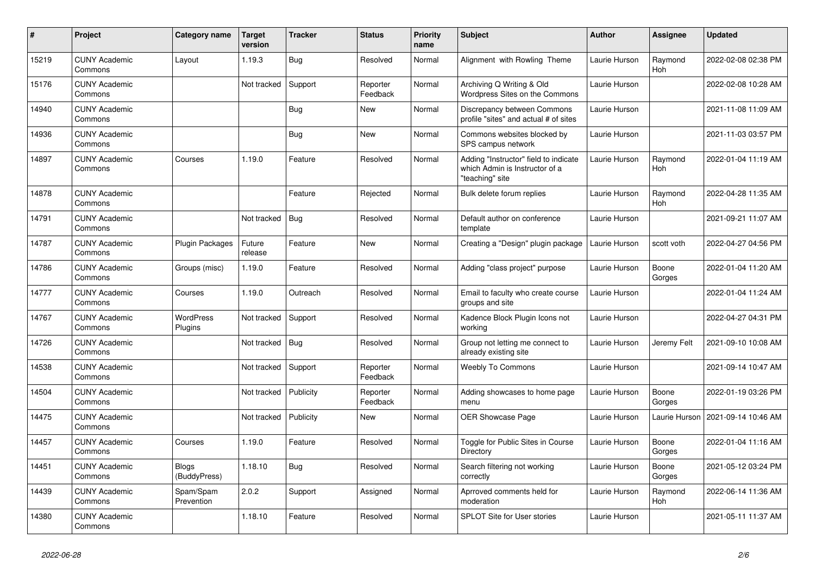| $\vert$ # | Project                         | Category name               | <b>Target</b><br>version | <b>Tracker</b> | <b>Status</b>        | <b>Priority</b><br>name | <b>Subject</b>                                                                             | Author        | <b>Assignee</b> | <b>Updated</b>      |
|-----------|---------------------------------|-----------------------------|--------------------------|----------------|----------------------|-------------------------|--------------------------------------------------------------------------------------------|---------------|-----------------|---------------------|
| 15219     | <b>CUNY Academic</b><br>Commons | Layout                      | 1.19.3                   | Bug            | Resolved             | Normal                  | Alignment with Rowling Theme                                                               | Laurie Hurson | Raymond<br>Hoh  | 2022-02-08 02:38 PM |
| 15176     | <b>CUNY Academic</b><br>Commons |                             | Not tracked              | Support        | Reporter<br>Feedback | Normal                  | Archiving Q Writing & Old<br>Wordpress Sites on the Commons                                | Laurie Hurson |                 | 2022-02-08 10:28 AM |
| 14940     | <b>CUNY Academic</b><br>Commons |                             |                          | Bug            | New                  | Normal                  | Discrepancy between Commons<br>profile "sites" and actual # of sites                       | Laurie Hurson |                 | 2021-11-08 11:09 AM |
| 14936     | <b>CUNY Academic</b><br>Commons |                             |                          | <b>Bug</b>     | New                  | Normal                  | Commons websites blocked by<br>SPS campus network                                          | Laurie Hurson |                 | 2021-11-03 03:57 PM |
| 14897     | <b>CUNY Academic</b><br>Commons | Courses                     | 1.19.0                   | Feature        | Resolved             | Normal                  | Adding "Instructor" field to indicate<br>which Admin is Instructor of a<br>"teaching" site | Laurie Hurson | Raymond<br>Hoh  | 2022-01-04 11:19 AM |
| 14878     | <b>CUNY Academic</b><br>Commons |                             |                          | Feature        | Rejected             | Normal                  | Bulk delete forum replies                                                                  | Laurie Hurson | Raymond<br>Hoh  | 2022-04-28 11:35 AM |
| 14791     | <b>CUNY Academic</b><br>Commons |                             | Not tracked              | <b>Bug</b>     | Resolved             | Normal                  | Default author on conference<br>template                                                   | Laurie Hurson |                 | 2021-09-21 11:07 AM |
| 14787     | <b>CUNY Academic</b><br>Commons | Plugin Packages             | Future<br>release        | Feature        | New                  | Normal                  | Creating a "Design" plugin package                                                         | Laurie Hurson | scott voth      | 2022-04-27 04:56 PM |
| 14786     | <b>CUNY Academic</b><br>Commons | Groups (misc)               | 1.19.0                   | Feature        | Resolved             | Normal                  | Adding "class project" purpose                                                             | Laurie Hurson | Boone<br>Gorges | 2022-01-04 11:20 AM |
| 14777     | <b>CUNY Academic</b><br>Commons | Courses                     | 1.19.0                   | Outreach       | Resolved             | Normal                  | Email to faculty who create course<br>groups and site                                      | Laurie Hurson |                 | 2022-01-04 11:24 AM |
| 14767     | <b>CUNY Academic</b><br>Commons | <b>WordPress</b><br>Plugins | Not tracked              | Support        | Resolved             | Normal                  | Kadence Block Plugin Icons not<br>working                                                  | Laurie Hurson |                 | 2022-04-27 04:31 PM |
| 14726     | <b>CUNY Academic</b><br>Commons |                             | Not tracked              | Bug            | Resolved             | Normal                  | Group not letting me connect to<br>already existing site                                   | Laurie Hurson | Jeremy Felt     | 2021-09-10 10:08 AM |
| 14538     | <b>CUNY Academic</b><br>Commons |                             | Not tracked              | Support        | Reporter<br>Feedback | Normal                  | <b>Weebly To Commons</b>                                                                   | Laurie Hurson |                 | 2021-09-14 10:47 AM |
| 14504     | <b>CUNY Academic</b><br>Commons |                             | Not tracked              | Publicity      | Reporter<br>Feedback | Normal                  | Adding showcases to home page<br>menu                                                      | Laurie Hurson | Boone<br>Gorges | 2022-01-19 03:26 PM |
| 14475     | <b>CUNY Academic</b><br>Commons |                             | Not tracked              | Publicity      | New                  | Normal                  | OER Showcase Page                                                                          | Laurie Hurson | Laurie Hurson   | 2021-09-14 10:46 AM |
| 14457     | <b>CUNY Academic</b><br>Commons | Courses                     | 1.19.0                   | Feature        | Resolved             | Normal                  | Toggle for Public Sites in Course<br>Directory                                             | Laurie Hurson | Boone<br>Gorges | 2022-01-04 11:16 AM |
| 14451     | <b>CUNY Academic</b><br>Commons | Blogs<br>(BuddyPress)       | 1.18.10                  | Bug            | Resolved             | Normal                  | Search filtering not working<br>correctly                                                  | Laurie Hurson | Boone<br>Gorges | 2021-05-12 03:24 PM |
| 14439     | <b>CUNY Academic</b><br>Commons | Spam/Spam<br>Prevention     | 2.0.2                    | Support        | Assigned             | Normal                  | Aprroved comments held for<br>moderation                                                   | Laurie Hurson | Raymond<br>Hoh  | 2022-06-14 11:36 AM |
| 14380     | <b>CUNY Academic</b><br>Commons |                             | 1.18.10                  | Feature        | Resolved             | Normal                  | SPLOT Site for User stories                                                                | Laurie Hurson |                 | 2021-05-11 11:37 AM |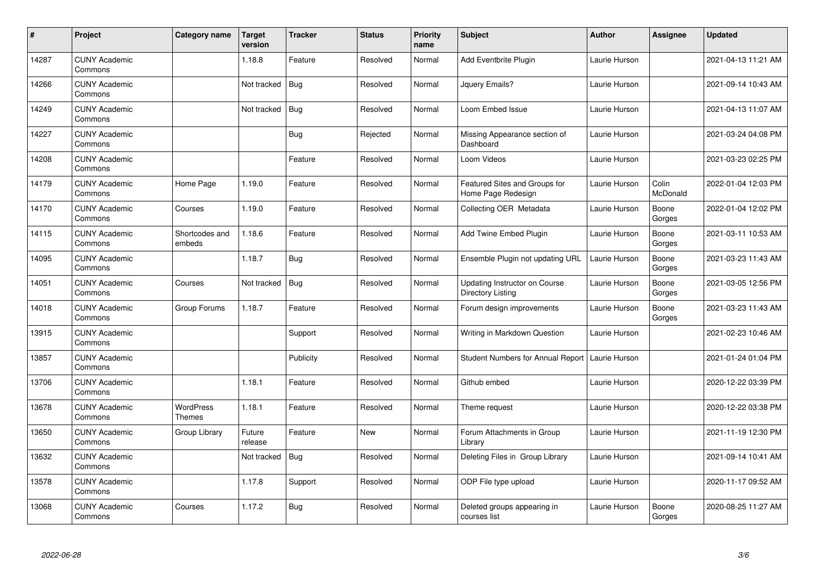| $\sharp$ | Project                         | Category name                     | <b>Target</b><br>version | <b>Tracker</b> | <b>Status</b> | <b>Priority</b><br>name | <b>Subject</b>                                      | <b>Author</b> | Assignee          | <b>Updated</b>      |
|----------|---------------------------------|-----------------------------------|--------------------------|----------------|---------------|-------------------------|-----------------------------------------------------|---------------|-------------------|---------------------|
| 14287    | <b>CUNY Academic</b><br>Commons |                                   | 1.18.8                   | Feature        | Resolved      | Normal                  | Add Eventbrite Plugin                               | Laurie Hurson |                   | 2021-04-13 11:21 AM |
| 14266    | <b>CUNY Academic</b><br>Commons |                                   | Not tracked              | <b>Bug</b>     | Resolved      | Normal                  | Jquery Emails?                                      | Laurie Hurson |                   | 2021-09-14 10:43 AM |
| 14249    | <b>CUNY Academic</b><br>Commons |                                   | Not tracked              | <b>Bug</b>     | Resolved      | Normal                  | Loom Embed Issue                                    | Laurie Hurson |                   | 2021-04-13 11:07 AM |
| 14227    | <b>CUNY Academic</b><br>Commons |                                   |                          | Bug            | Rejected      | Normal                  | Missing Appearance section of<br>Dashboard          | Laurie Hurson |                   | 2021-03-24 04:08 PM |
| 14208    | <b>CUNY Academic</b><br>Commons |                                   |                          | Feature        | Resolved      | Normal                  | Loom Videos                                         | Laurie Hurson |                   | 2021-03-23 02:25 PM |
| 14179    | <b>CUNY Academic</b><br>Commons | Home Page                         | 1.19.0                   | Feature        | Resolved      | Normal                  | Featured Sites and Groups for<br>Home Page Redesign | Laurie Hurson | Colin<br>McDonald | 2022-01-04 12:03 PM |
| 14170    | <b>CUNY Academic</b><br>Commons | Courses                           | 1.19.0                   | Feature        | Resolved      | Normal                  | Collecting OER Metadata                             | Laurie Hurson | Boone<br>Gorges   | 2022-01-04 12:02 PM |
| 14115    | <b>CUNY Academic</b><br>Commons | Shortcodes and<br>embeds          | 1.18.6                   | Feature        | Resolved      | Normal                  | Add Twine Embed Plugin                              | Laurie Hurson | Boone<br>Gorges   | 2021-03-11 10:53 AM |
| 14095    | <b>CUNY Academic</b><br>Commons |                                   | 1.18.7                   | Bug            | Resolved      | Normal                  | Ensemble Plugin not updating URL                    | Laurie Hurson | Boone<br>Gorges   | 2021-03-23 11:43 AM |
| 14051    | <b>CUNY Academic</b><br>Commons | Courses                           | Not tracked              | Bug            | Resolved      | Normal                  | Updating Instructor on Course<br>Directory Listing  | Laurie Hurson | Boone<br>Gorges   | 2021-03-05 12:56 PM |
| 14018    | <b>CUNY Academic</b><br>Commons | Group Forums                      | 1.18.7                   | Feature        | Resolved      | Normal                  | Forum design improvements                           | Laurie Hurson | Boone<br>Gorges   | 2021-03-23 11:43 AM |
| 13915    | <b>CUNY Academic</b><br>Commons |                                   |                          | Support        | Resolved      | Normal                  | Writing in Markdown Question                        | Laurie Hurson |                   | 2021-02-23 10:46 AM |
| 13857    | <b>CUNY Academic</b><br>Commons |                                   |                          | Publicity      | Resolved      | Normal                  | Student Numbers for Annual Report   Laurie Hurson   |               |                   | 2021-01-24 01:04 PM |
| 13706    | <b>CUNY Academic</b><br>Commons |                                   | 1.18.1                   | Feature        | Resolved      | Normal                  | Github embed                                        | Laurie Hurson |                   | 2020-12-22 03:39 PM |
| 13678    | <b>CUNY Academic</b><br>Commons | <b>WordPress</b><br><b>Themes</b> | 1.18.1                   | Feature        | Resolved      | Normal                  | Theme request                                       | Laurie Hurson |                   | 2020-12-22 03:38 PM |
| 13650    | <b>CUNY Academic</b><br>Commons | Group Library                     | Future<br>release        | Feature        | New           | Normal                  | Forum Attachments in Group<br>Library               | Laurie Hurson |                   | 2021-11-19 12:30 PM |
| 13632    | <b>CUNY Academic</b><br>Commons |                                   | Not tracked              | <b>Bug</b>     | Resolved      | Normal                  | Deleting Files in Group Library                     | Laurie Hurson |                   | 2021-09-14 10:41 AM |
| 13578    | <b>CUNY Academic</b><br>Commons |                                   | 1.17.8                   | Support        | Resolved      | Normal                  | ODP File type upload                                | Laurie Hurson |                   | 2020-11-17 09:52 AM |
| 13068    | <b>CUNY Academic</b><br>Commons | Courses                           | 1.17.2                   | <b>Bug</b>     | Resolved      | Normal                  | Deleted groups appearing in<br>courses list         | Laurie Hurson | Boone<br>Gorges   | 2020-08-25 11:27 AM |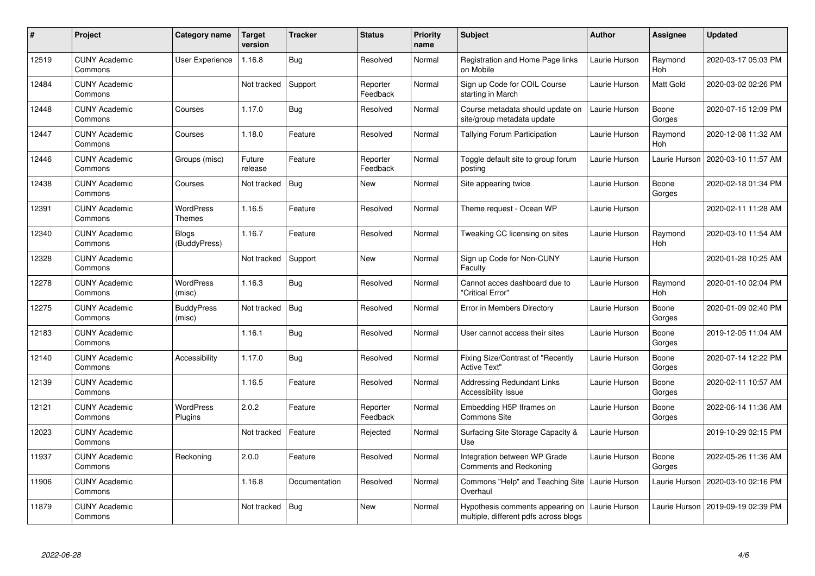| #     | Project                         | Category name                | <b>Target</b><br>version | <b>Tracker</b> | <b>Status</b>        | <b>Priority</b><br>name | <b>Subject</b>                                                            | <b>Author</b> | <b>Assignee</b>       | <b>Updated</b>      |
|-------|---------------------------------|------------------------------|--------------------------|----------------|----------------------|-------------------------|---------------------------------------------------------------------------|---------------|-----------------------|---------------------|
| 12519 | <b>CUNY Academic</b><br>Commons | User Experience              | 1.16.8                   | Bug            | Resolved             | Normal                  | Registration and Home Page links<br>on Mobile                             | Laurie Hurson | Raymond<br>Hoh        | 2020-03-17 05:03 PM |
| 12484 | <b>CUNY Academic</b><br>Commons |                              | Not tracked              | Support        | Reporter<br>Feedback | Normal                  | Sign up Code for COIL Course<br>starting in March                         | Laurie Hurson | Matt Gold             | 2020-03-02 02:26 PM |
| 12448 | <b>CUNY Academic</b><br>Commons | Courses                      | 1.17.0                   | <b>Bug</b>     | Resolved             | Normal                  | Course metadata should update on<br>site/group metadata update            | Laurie Hurson | Boone<br>Gorges       | 2020-07-15 12:09 PM |
| 12447 | <b>CUNY Academic</b><br>Commons | Courses                      | 1.18.0                   | Feature        | Resolved             | Normal                  | Tallying Forum Participation                                              | Laurie Hurson | Raymond<br>Hoh        | 2020-12-08 11:32 AM |
| 12446 | <b>CUNY Academic</b><br>Commons | Groups (misc)                | Future<br>release        | Feature        | Reporter<br>Feedback | Normal                  | Toggle default site to group forum<br>postina                             | Laurie Hurson | Laurie Hurson         | 2020-03-10 11:57 AM |
| 12438 | <b>CUNY Academic</b><br>Commons | Courses                      | Not tracked              | <b>Bug</b>     | <b>New</b>           | Normal                  | Site appearing twice                                                      | Laurie Hurson | Boone<br>Gorges       | 2020-02-18 01:34 PM |
| 12391 | <b>CUNY Academic</b><br>Commons | <b>WordPress</b><br>Themes   | 1.16.5                   | Feature        | Resolved             | Normal                  | Theme request - Ocean WP                                                  | Laurie Hurson |                       | 2020-02-11 11:28 AM |
| 12340 | <b>CUNY Academic</b><br>Commons | <b>Blogs</b><br>(BuddyPress) | 1.16.7                   | Feature        | Resolved             | Normal                  | Tweaking CC licensing on sites                                            | Laurie Hurson | Raymond<br><b>Hoh</b> | 2020-03-10 11:54 AM |
| 12328 | <b>CUNY Academic</b><br>Commons |                              | Not tracked              | Support        | <b>New</b>           | Normal                  | Sign up Code for Non-CUNY<br>Faculty                                      | Laurie Hurson |                       | 2020-01-28 10:25 AM |
| 12278 | <b>CUNY Academic</b><br>Commons | WordPress<br>(misc)          | 1.16.3                   | <b>Bug</b>     | Resolved             | Normal                  | Cannot acces dashboard due to<br>'Critical Error"                         | Laurie Hurson | Raymond<br><b>Hoh</b> | 2020-01-10 02:04 PM |
| 12275 | <b>CUNY Academic</b><br>Commons | <b>BuddyPress</b><br>(misc)  | Not tracked              | <b>Bug</b>     | Resolved             | Normal                  | Error in Members Directory                                                | Laurie Hurson | Boone<br>Gorges       | 2020-01-09 02:40 PM |
| 12183 | <b>CUNY Academic</b><br>Commons |                              | 1.16.1                   | Bug            | Resolved             | Normal                  | User cannot access their sites                                            | Laurie Hurson | Boone<br>Gorges       | 2019-12-05 11:04 AM |
| 12140 | <b>CUNY Academic</b><br>Commons | Accessibility                | 1.17.0                   | Bug            | Resolved             | Normal                  | <b>Fixing Size/Contrast of "Recently</b><br><b>Active Text"</b>           | Laurie Hurson | Boone<br>Gorges       | 2020-07-14 12:22 PM |
| 12139 | <b>CUNY Academic</b><br>Commons |                              | 1.16.5                   | Feature        | Resolved             | Normal                  | <b>Addressing Redundant Links</b><br>Accessibility Issue                  | Laurie Hurson | Boone<br>Gorges       | 2020-02-11 10:57 AM |
| 12121 | <b>CUNY Academic</b><br>Commons | <b>WordPress</b><br>Plugins  | 2.0.2                    | Feature        | Reporter<br>Feedback | Normal                  | Embedding H5P Iframes on<br>Commons Site                                  | Laurie Hurson | Boone<br>Gorges       | 2022-06-14 11:36 AM |
| 12023 | <b>CUNY Academic</b><br>Commons |                              | Not tracked              | Feature        | Rejected             | Normal                  | Surfacing Site Storage Capacity &<br>Use                                  | Laurie Hurson |                       | 2019-10-29 02:15 PM |
| 11937 | <b>CUNY Academic</b><br>Commons | Reckoning                    | 2.0.0                    | Feature        | Resolved             | Normal                  | Integration between WP Grade<br>Comments and Reckoning                    | Laurie Hurson | Boone<br>Gorges       | 2022-05-26 11:36 AM |
| 11906 | <b>CUNY Academic</b><br>Commons |                              | 1.16.8                   | Documentation  | Resolved             | Normal                  | Commons "Help" and Teaching Site<br>Overhaul                              | Laurie Hurson | Laurie Hurson         | 2020-03-10 02:16 PM |
| 11879 | <b>CUNY Academic</b><br>Commons |                              | Not tracked              | <b>Bug</b>     | <b>New</b>           | Normal                  | Hypothesis comments appearing on<br>multiple, different pdfs across blogs | Laurie Hurson | Laurie Hurson         | 2019-09-19 02:39 PM |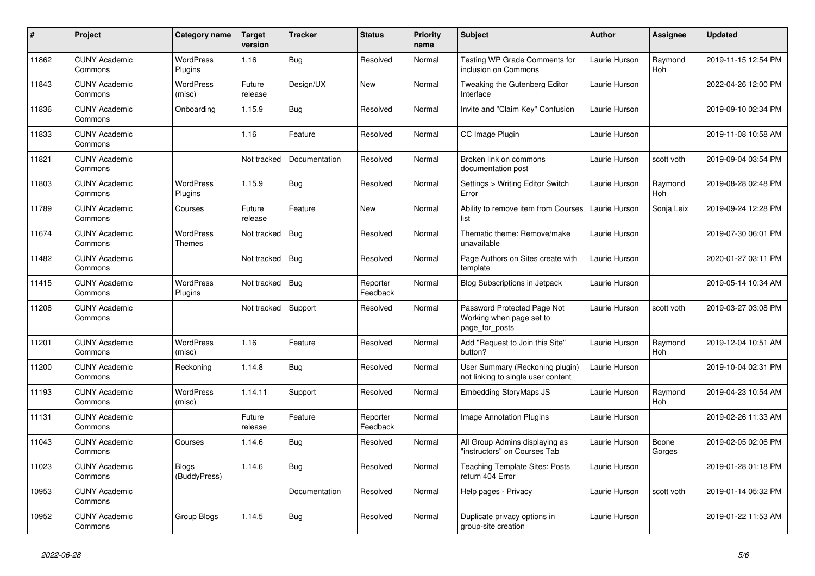| $\#$  | Project                         | Category name                | <b>Target</b><br>version | <b>Tracker</b> | <b>Status</b>        | <b>Priority</b><br>name | <b>Subject</b>                                                            | <b>Author</b> | <b>Assignee</b> | <b>Updated</b>      |
|-------|---------------------------------|------------------------------|--------------------------|----------------|----------------------|-------------------------|---------------------------------------------------------------------------|---------------|-----------------|---------------------|
| 11862 | <b>CUNY Academic</b><br>Commons | <b>WordPress</b><br>Plugins  | 1.16                     | Bug            | Resolved             | Normal                  | Testing WP Grade Comments for<br>inclusion on Commons                     | Laurie Hurson | Raymond<br>Hoh  | 2019-11-15 12:54 PM |
| 11843 | <b>CUNY Academic</b><br>Commons | <b>WordPress</b><br>(misc)   | Future<br>release        | Design/UX      | <b>New</b>           | Normal                  | Tweaking the Gutenberg Editor<br>Interface                                | Laurie Hurson |                 | 2022-04-26 12:00 PM |
| 11836 | <b>CUNY Academic</b><br>Commons | Onboarding                   | 1.15.9                   | Bug            | Resolved             | Normal                  | Invite and "Claim Key" Confusion                                          | Laurie Hurson |                 | 2019-09-10 02:34 PM |
| 11833 | <b>CUNY Academic</b><br>Commons |                              | 1.16                     | Feature        | Resolved             | Normal                  | CC Image Plugin                                                           | Laurie Hurson |                 | 2019-11-08 10:58 AM |
| 11821 | <b>CUNY Academic</b><br>Commons |                              | Not tracked              | Documentation  | Resolved             | Normal                  | Broken link on commons<br>documentation post                              | Laurie Hurson | scott voth      | 2019-09-04 03:54 PM |
| 11803 | <b>CUNY Academic</b><br>Commons | <b>WordPress</b><br>Plugins  | 1.15.9                   | Bug            | Resolved             | Normal                  | Settings > Writing Editor Switch<br>Error                                 | Laurie Hurson | Raymond<br>Hoh  | 2019-08-28 02:48 PM |
| 11789 | <b>CUNY Academic</b><br>Commons | Courses                      | Future<br>release        | Feature        | <b>New</b>           | Normal                  | Ability to remove item from Courses<br>list                               | Laurie Hurson | Sonja Leix      | 2019-09-24 12:28 PM |
| 11674 | <b>CUNY Academic</b><br>Commons | <b>WordPress</b><br>Themes   | Not tracked              | <b>Bug</b>     | Resolved             | Normal                  | Thematic theme: Remove/make<br>unavailable                                | Laurie Hurson |                 | 2019-07-30 06:01 PM |
| 11482 | <b>CUNY Academic</b><br>Commons |                              | Not tracked              | Bug            | Resolved             | Normal                  | Page Authors on Sites create with<br>template                             | Laurie Hurson |                 | 2020-01-27 03:11 PM |
| 11415 | <b>CUNY Academic</b><br>Commons | <b>WordPress</b><br>Plugins  | Not tracked              | Bug            | Reporter<br>Feedback | Normal                  | <b>Blog Subscriptions in Jetpack</b>                                      | Laurie Hurson |                 | 2019-05-14 10:34 AM |
| 11208 | <b>CUNY Academic</b><br>Commons |                              | Not tracked              | Support        | Resolved             | Normal                  | Password Protected Page Not<br>Working when page set to<br>page for posts | Laurie Hurson | scott voth      | 2019-03-27 03:08 PM |
| 11201 | <b>CUNY Academic</b><br>Commons | <b>WordPress</b><br>(misc)   | 1.16                     | Feature        | Resolved             | Normal                  | Add "Request to Join this Site"<br>button?                                | Laurie Hurson | Raymond<br>Hoh  | 2019-12-04 10:51 AM |
| 11200 | <b>CUNY Academic</b><br>Commons | Reckoning                    | 1.14.8                   | <b>Bug</b>     | Resolved             | Normal                  | User Summary (Reckoning plugin)<br>not linking to single user content     | Laurie Hurson |                 | 2019-10-04 02:31 PM |
| 11193 | <b>CUNY Academic</b><br>Commons | WordPress<br>(misc)          | 1.14.11                  | Support        | Resolved             | Normal                  | <b>Embedding StoryMaps JS</b>                                             | Laurie Hurson | Raymond<br>Hoh  | 2019-04-23 10:54 AM |
| 11131 | <b>CUNY Academic</b><br>Commons |                              | Future<br>release        | Feature        | Reporter<br>Feedback | Normal                  | <b>Image Annotation Plugins</b>                                           | Laurie Hurson |                 | 2019-02-26 11:33 AM |
| 11043 | <b>CUNY Academic</b><br>Commons | Courses                      | 1.14.6                   | <b>Bug</b>     | Resolved             | Normal                  | All Group Admins displaying as<br>"instructors" on Courses Tab            | Laurie Hurson | Boone<br>Gorges | 2019-02-05 02:06 PM |
| 11023 | <b>CUNY Academic</b><br>Commons | <b>Blogs</b><br>(BuddyPress) | 1.14.6                   | Bug            | Resolved             | Normal                  | <b>Teaching Template Sites: Posts</b><br>return 404 Error                 | Laurie Hurson |                 | 2019-01-28 01:18 PM |
| 10953 | <b>CUNY Academic</b><br>Commons |                              |                          | Documentation  | Resolved             | Normal                  | Help pages - Privacy                                                      | Laurie Hurson | scott voth      | 2019-01-14 05:32 PM |
| 10952 | <b>CUNY Academic</b><br>Commons | Group Blogs                  | 1.14.5                   | <b>Bug</b>     | Resolved             | Normal                  | Duplicate privacy options in<br>group-site creation                       | Laurie Hurson |                 | 2019-01-22 11:53 AM |